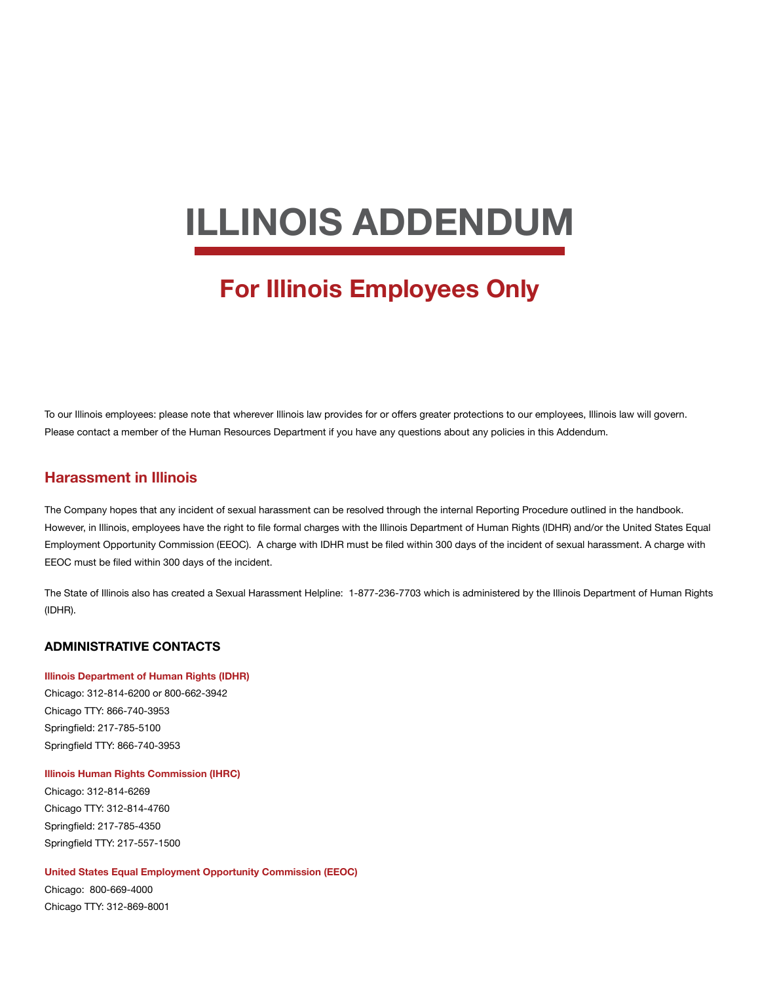# **ILLINOIS ADDENDUM**

# **For Illinois Employees Only**

To our Illinois employees: please note that wherever Illinois law provides for or offers greater protections to our employees, Illinois law will govern. Please contact a member of the Human Resources Department if you have any questions about any policies in this Addendum.

# **Harassment in Illinois**

The Company hopes that any incident of sexual harassment can be resolved through the internal Reporting Procedure outlined in the handbook. However, in Illinois, employees have the right to file formal charges with the Illinois Department of Human Rights (IDHR) and/or the United States Equal Employment Opportunity Commission (EEOC). A charge with IDHR must be filed within 300 days of the incident of sexual harassment. A charge with EEOC must be filed within 300 days of the incident.

The State of Illinois also has created a Sexual Harassment Helpline: 1-877-236-7703 which is administered by the Illinois Department of Human Rights (IDHR).

#### **ADMINISTRATIVE CONTACTS**

#### **Illinois Department of Human Rights (IDHR)**

Chicago: 312-814-6200 or 800-662-3942 Chicago TTY: 866-740-3953 Springfield: 217-785-5100 Springfield TTY: 866-740-3953

#### **Illinois Human Rights Commission (IHRC)**

Chicago: 312-814-6269 Chicago TTY: 312-814-4760 Springfield: 217-785-4350 Springfield TTY: 217-557-1500

#### **United States Equal Employment Opportunity Commission (EEOC)**

Chicago: 800-669-4000 Chicago TTY: 312-869-8001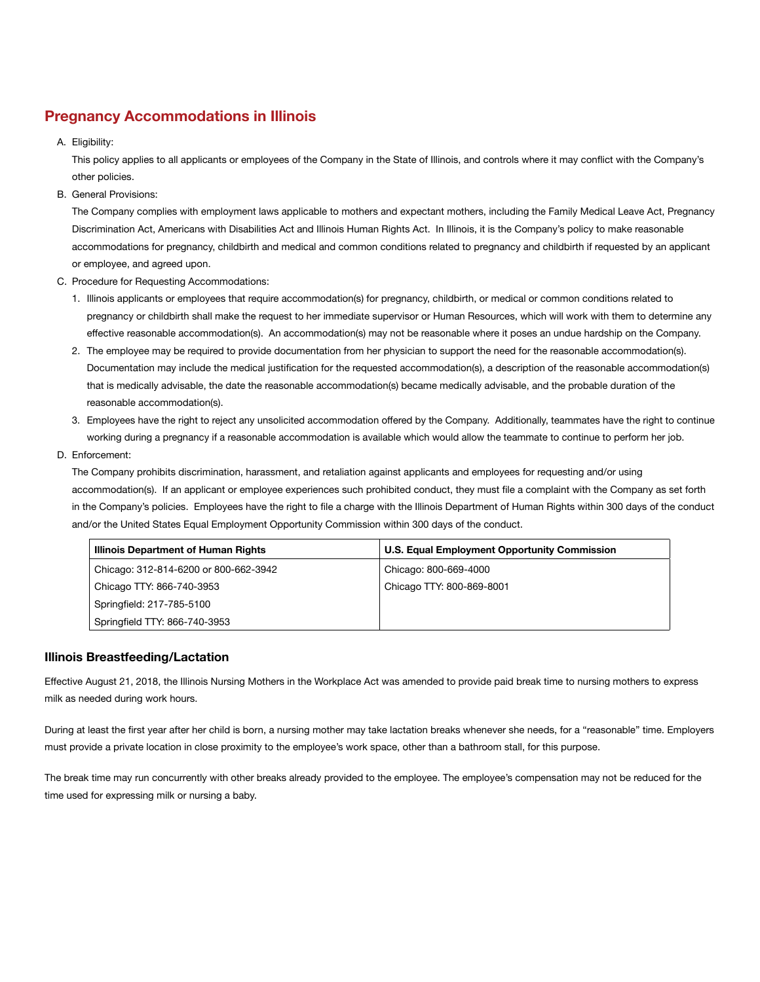# **Pregnancy Accommodations in Illinois**

A. Eligibility:

This policy applies to all applicants or employees of the Company in the State of Illinois, and controls where it may conflict with the Company's other policies.

B. General Provisions:

The Company complies with employment laws applicable to mothers and expectant mothers, including the Family Medical Leave Act, Pregnancy Discrimination Act, Americans with Disabilities Act and Illinois Human Rights Act. In Illinois, it is the Company's policy to make reasonable accommodations for pregnancy, childbirth and medical and common conditions related to pregnancy and childbirth if requested by an applicant or employee, and agreed upon.

- C. Procedure for Requesting Accommodations:
	- 1. Illinois applicants or employees that require accommodation(s) for pregnancy, childbirth, or medical or common conditions related to pregnancy or childbirth shall make the request to her immediate supervisor or Human Resources, which will work with them to determine any effective reasonable accommodation(s). An accommodation(s) may not be reasonable where it poses an undue hardship on the Company.
	- 2. The employee may be required to provide documentation from her physician to support the need for the reasonable accommodation(s). Documentation may include the medical justification for the requested accommodation(s), a description of the reasonable accommodation(s) that is medically advisable, the date the reasonable accommodation(s) became medically advisable, and the probable duration of the reasonable accommodation(s).
	- 3. Employees have the right to reject any unsolicited accommodation offered by the Company. Additionally, teammates have the right to continue working during a pregnancy if a reasonable accommodation is available which would allow the teammate to continue to perform her job.
- D. Enforcement:

The Company prohibits discrimination, harassment, and retaliation against applicants and employees for requesting and/or using accommodation(s). If an applicant or employee experiences such prohibited conduct, they must file a complaint with the Company as set forth in the Company's policies. Employees have the right to file a charge with the Illinois Department of Human Rights within 300 days of the conduct and/or the United States Equal Employment Opportunity Commission within 300 days of the conduct.

| Illinois Department of Human Rights   | <b>U.S. Equal Employment Opportunity Commission</b> |
|---------------------------------------|-----------------------------------------------------|
| Chicago: 312-814-6200 or 800-662-3942 | Chicago: 800-669-4000                               |
| Chicago TTY: 866-740-3953             | Chicago TTY: 800-869-8001                           |
| Springfield: 217-785-5100             |                                                     |
| Springfield TTY: 866-740-3953         |                                                     |

## **Illinois Breastfeeding/Lactation**

Effective August 21, 2018, the Illinois Nursing Mothers in the Workplace Act was amended to provide paid break time to nursing mothers to express milk as needed during work hours.

During at least the first year after her child is born, a nursing mother may take lactation breaks whenever she needs, for a "reasonable" time. Employers must provide a private location in close proximity to the employee's work space, other than a bathroom stall, for this purpose.

The break time may run concurrently with other breaks already provided to the employee. The employee's compensation may not be reduced for the time used for expressing milk or nursing a baby.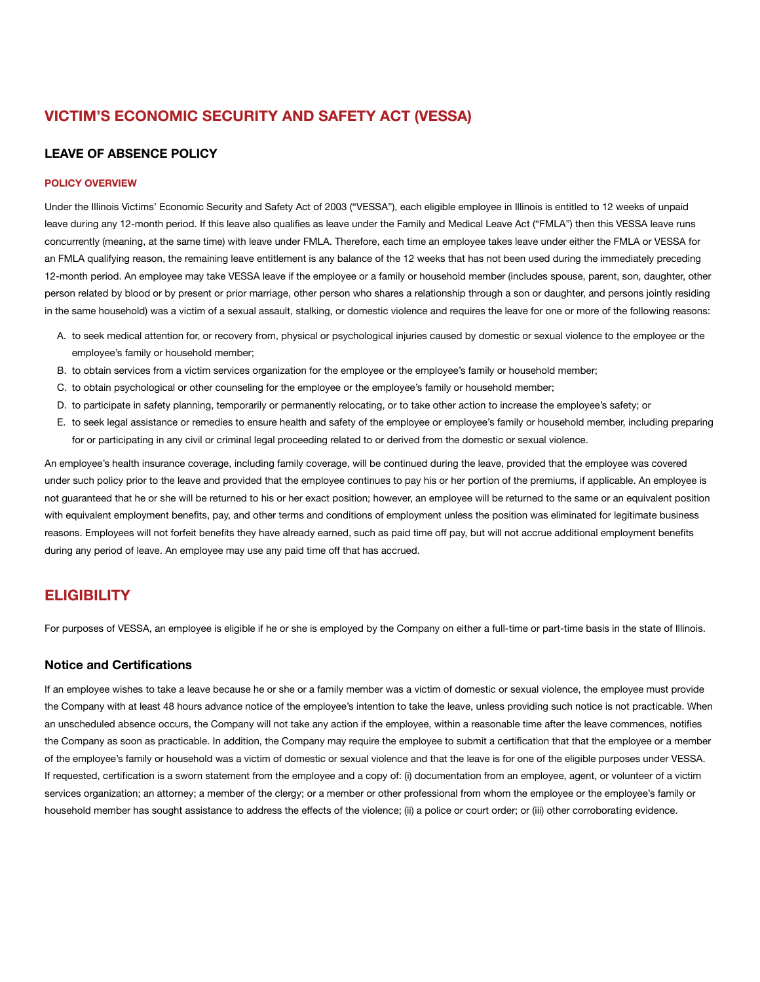# **VICTIM'S ECONOMIC SECURITY AND SAFETY ACT (VESSA)**

#### **LEAVE OF ABSENCE POLICY**

#### **POLICY OVERVIEW**

Under the Illinois Victims' Economic Security and Safety Act of 2003 ("VESSA"), each eligible employee in Illinois is entitled to 12 weeks of unpaid leave during any 12-month period. If this leave also qualifies as leave under the Family and Medical Leave Act ("FMLA") then this VESSA leave runs concurrently (meaning, at the same time) with leave under FMLA. Therefore, each time an employee takes leave under either the FMLA or VESSA for an FMLA qualifying reason, the remaining leave entitlement is any balance of the 12 weeks that has not been used during the immediately preceding 12-month period. An employee may take VESSA leave if the employee or a family or household member (includes spouse, parent, son, daughter, other person related by blood or by present or prior marriage, other person who shares a relationship through a son or daughter, and persons jointly residing in the same household) was a victim of a sexual assault, stalking, or domestic violence and requires the leave for one or more of the following reasons:

- A. to seek medical attention for, or recovery from, physical or psychological injuries caused by domestic or sexual violence to the employee or the employee's family or household member;
- B. to obtain services from a victim services organization for the employee or the employee's family or household member;
- C. to obtain psychological or other counseling for the employee or the employee's family or household member;
- D. to participate in safety planning, temporarily or permanently relocating, or to take other action to increase the employee's safety; or
- E. to seek legal assistance or remedies to ensure health and safety of the employee or employee's family or household member, including preparing for or participating in any civil or criminal legal proceeding related to or derived from the domestic or sexual violence.

An employee's health insurance coverage, including family coverage, will be continued during the leave, provided that the employee was covered under such policy prior to the leave and provided that the employee continues to pay his or her portion of the premiums, if applicable. An employee is not guaranteed that he or she will be returned to his or her exact position; however, an employee will be returned to the same or an equivalent position with equivalent employment benefits, pay, and other terms and conditions of employment unless the position was eliminated for legitimate business reasons. Employees will not forfeit benefits they have already earned, such as paid time off pay, but will not accrue additional employment benefits during any period of leave. An employee may use any paid time off that has accrued.

# **ELIGIBILITY**

For purposes of VESSA, an employee is eligible if he or she is employed by the Company on either a full-time or part-time basis in the state of Illinois.

#### **Notice and Certifications**

If an employee wishes to take a leave because he or she or a family member was a victim of domestic or sexual violence, the employee must provide the Company with at least 48 hours advance notice of the employee's intention to take the leave, unless providing such notice is not practicable. When an unscheduled absence occurs, the Company will not take any action if the employee, within a reasonable time after the leave commences, notifies the Company as soon as practicable. In addition, the Company may require the employee to submit a certification that that the employee or a member of the employee's family or household was a victim of domestic or sexual violence and that the leave is for one of the eligible purposes under VESSA. If requested, certification is a sworn statement from the employee and a copy of: (i) documentation from an employee, agent, or volunteer of a victim services organization; an attorney; a member of the clergy; or a member or other professional from whom the employee or the employee's family or household member has sought assistance to address the effects of the violence; (ii) a police or court order; or (iii) other corroborating evidence.